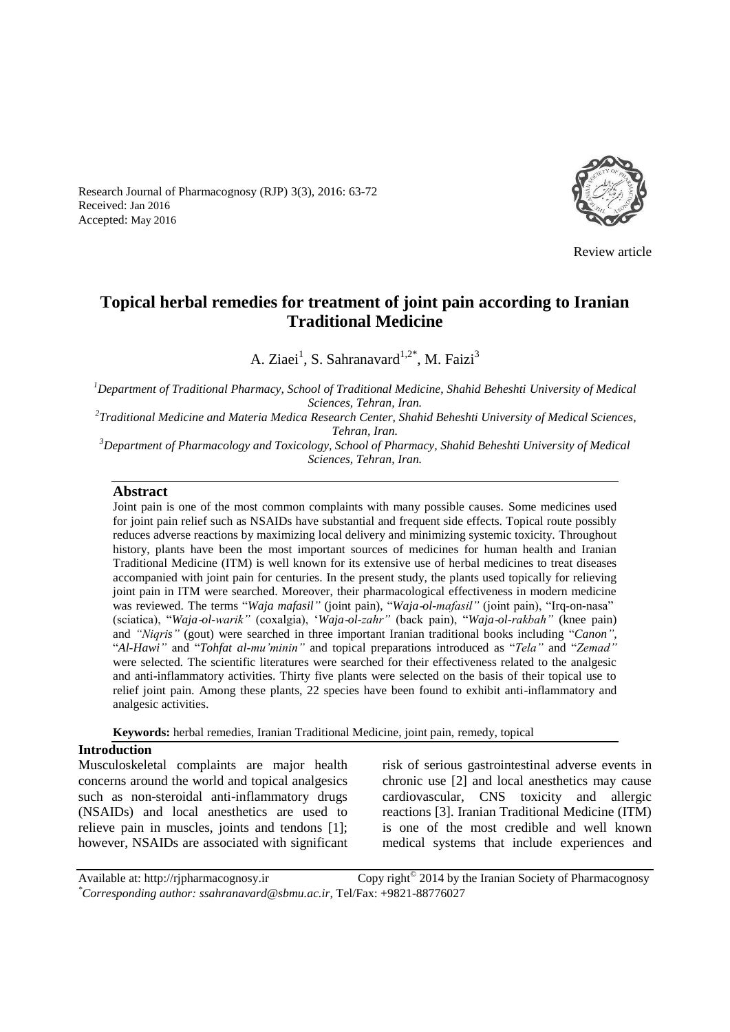Research Journal of Pharmacognosy (RJP) 3(3), 2016: 63-72 Received: Jan 2016 Accepted: May 2016



Review article

# **Topical herbal remedies for treatment of joint pain according to Iranian Traditional Medicine**

A. Ziaei<sup>1</sup>, S. Sahranavard<sup>1,2\*</sup>, M. Faizi<sup>3</sup>

*<sup>1</sup>Department of Traditional Pharmacy, School of Traditional Medicine, Shahid Beheshti University of Medical Sciences, Tehran, Iran.*

*2 Traditional Medicine and Materia Medica Research Center, Shahid Beheshti University of Medical Sciences, Tehran, Iran.*

*<sup>3</sup>Department of Pharmacology and Toxicology, School of Pharmacy, Shahid Beheshti University of Medical Sciences, Tehran, Iran.*

#### **Abstract**

Joint pain is one of the most common complaints with many possible causes. Some medicines used for joint pain relief such as NSAIDs have substantial and frequent side effects. Topical route possibly reduces adverse reactions by maximizing local delivery and minimizing systemic toxicity. Throughout history, plants have been the most important sources of medicines for human health and Iranian Traditional Medicine (ITM) is well known for its extensive use of herbal medicines to treat diseases accompanied with joint pain for centuries. In the present study, the plants used topically for relieving joint pain in ITM were searched. Moreover, their pharmacological effectiveness in modern medicine was reviewed. The terms "*Waja mafasil"* (joint pain), "*Waja*-*ol-mafasil"* (joint pain), "Irq-on-nasa" (sciatica), "*Waja*-*ol-warik"* (coxalgia), '*Waja*-*ol-zahr"* (back pain), "*Waja*-*ol-rakbah"* (knee pain) and *"Niqris"* (gout) were searched in three important Iranian traditional books including "*Canon",* "*Al-Hawi"* and "*Tohfat al-mu'minin"* and topical preparations introduced as "*Tela"* and "*Zemad"*  were selected*.* The scientific literatures were searched for their effectiveness related to the analgesic and anti-inflammatory activities. Thirty five plants were selected on the basis of their topical use to relief joint pain. Among these plants, 22 species have been found to exhibit anti-inflammatory and analgesic activities.

**Keywords:** herbal remedies, Iranian Traditional Medicine, joint pain, remedy, topical

### **Introduction**

Musculoskeletal complaints are major health concerns around the world and topical analgesics such as non-steroidal anti-inflammatory drugs (NSAIDs) and local anesthetics are used to relieve pain in muscles, joints and tendons [1]; however, NSAIDs are associated with significant risk of serious gastrointestinal adverse events in chronic use [2] and local anesthetics may cause cardiovascular, CNS toxicity and allergic reactions [3]. Iranian Traditional Medicine (ITM) is one of the most credible and well known medical systems that include experiences and

Available at: http://rjpharmacognosy.ir Copy right $^{\circ}$  2014 by the Iranian Society of Pharmacognosy *\*Corresponding author: ssahranavard@sbmu.ac.ir,* Tel/Fax: +9821-88776027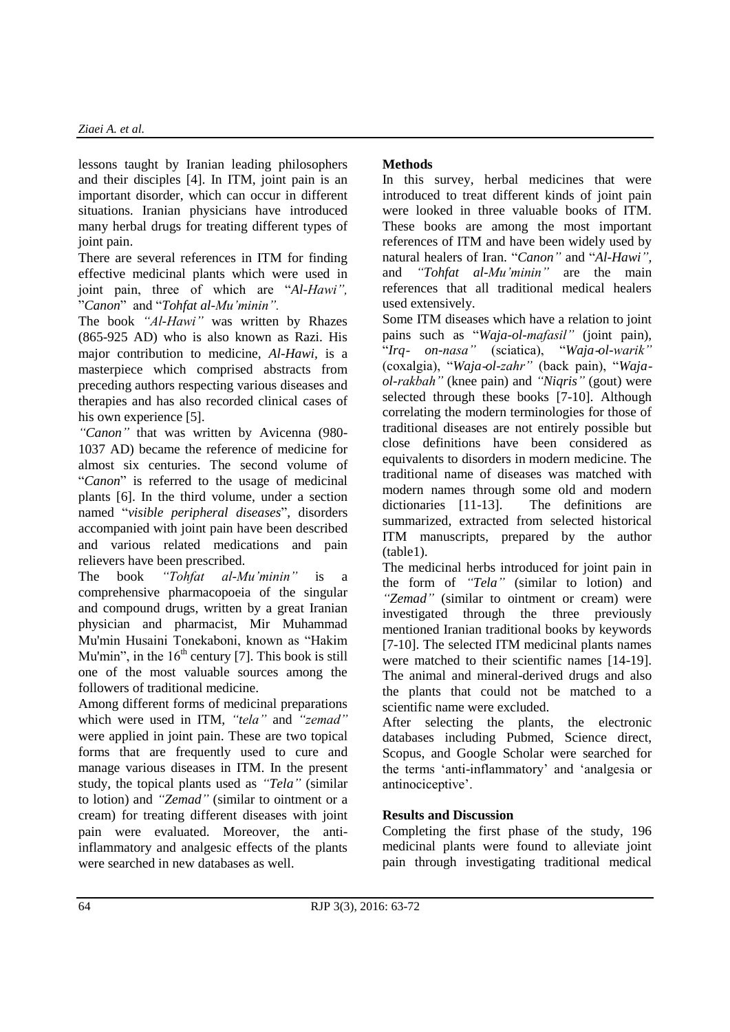lessons taught by Iranian leading philosophers and their disciples [4]. In ITM, joint pain is an important disorder, which can occur in different situations. Iranian physicians have introduced many herbal drugs for treating different types of joint pain.

There are several references in ITM for finding effective medicinal plants which were used in joint pain, three of which are "*Al-Hawi",*  "*Canon*" and "*Tohfat al-Mu'minin".*

The book *"Al-Hawi"* was written by Rhazes (865-925 AD) who is also known as Razi. His major contribution to medicine, *Al-Hawi,* is a masterpiece which comprised abstracts from preceding authors respecting various diseases and therapies and has also recorded clinical cases of his own experience [5].

*"Canon"* that was written by Avicenna (980- 1037 AD) became the reference of medicine for almost six centuries. The second volume of "*Canon*" is referred to the usage of medicinal plants [6]. In the third volume, under a section named "*visible peripheral diseases*", disorders accompanied with joint pain have been described and various related medications and pain relievers have been prescribed.

The book *"Tohfat al-Mu'minin"* is a comprehensive pharmacopoeia of the singular and compound drugs, written by a great Iranian physician and pharmacist, Mir Muhammad Mu'min Husaini Tonekaboni, known as "Hakim Mu'min", in the  $16<sup>th</sup>$  century [7]. This book is still one of the most valuable sources among the followers of traditional medicine.

Among different forms of medicinal preparations which were used in ITM, *"tela"* and *"zemad"* were applied in joint pain. These are two topical forms that are frequently used to cure and manage various diseases in ITM. In the present study, the topical plants used as *"Tela"* (similar to lotion) and *"Zemad"* (similar to ointment or a cream) for treating different diseases with joint pain were evaluated. Moreover, the antiinflammatory and analgesic effects of the plants were searched in new databases as well.

### **Methods**

In this survey, herbal medicines that were introduced to treat different kinds of joint pain were looked in three valuable books of ITM. These books are among the most important references of ITM and have been widely used by natural healers of Iran. "*Canon"* and "*Al-Hawi",* and *"Tohfat al-Mu'minin"* are the main references that all traditional medical healers used extensively.

Some ITM diseases which have a relation to joint pains such as "*Waja-ol-mafasil"* (joint pain), "*Irq*- *on-nasa"* (sciatica), "*Waja*-*ol-warik"*  (coxalgia), "*Waja*-*ol-zahr"* (back pain), "*Wajaol-rakbah"* (knee pain) and *"Niqris"* (gout) were selected through these books [7-10]. Although correlating the modern terminologies for those of traditional diseases are not entirely possible but close definitions have been considered as equivalents to disorders in modern medicine. The traditional name of diseases was matched with modern names through some old and modern dictionaries [11-13]. The definitions are summarized, extracted from selected historical ITM manuscripts, prepared by the author (table1).

The medicinal herbs introduced for joint pain in the form of *"Tela"* (similar to lotion) and *"Zemad"* (similar to ointment or cream) were investigated through the three previously mentioned Iranian traditional books by keywords [7-10]. The selected ITM medicinal plants names were matched to their scientific names [14-19]. The animal and mineral-derived drugs and also the plants that could not be matched to a scientific name were excluded.

After selecting the plants, the electronic databases including Pubmed, Science direct, Scopus, and Google Scholar were searched for the terms 'anti-inflammatory' and 'analgesia or antinociceptive'.

# **Results and Discussion**

Completing the first phase of the study, 196 medicinal plants were found to alleviate joint pain through investigating traditional medical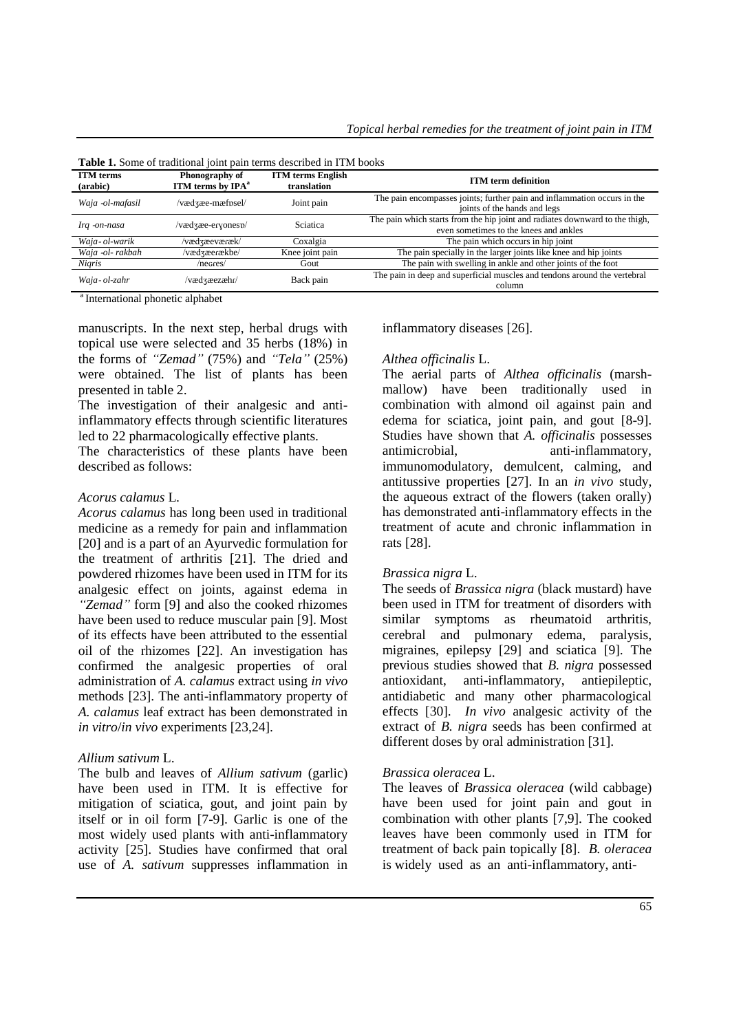| <b>Table 1.</b> Some of traditional joint pain terms described in TTM books |                                                 |                                         |                                                                                                                        |  |  |  |  |  |
|-----------------------------------------------------------------------------|-------------------------------------------------|-----------------------------------------|------------------------------------------------------------------------------------------------------------------------|--|--|--|--|--|
| <b>ITM</b> terms<br>(arabic)                                                | Phonography of<br>ITM terms by IPA <sup>a</sup> | <b>ITM</b> terms English<br>translation | <b>ITM</b> term definition                                                                                             |  |  |  |  |  |
| Waja -ol-mafasil                                                            | /vædʒæe-mæfɒsel/                                | Joint pain                              | The pain encompasses joints; further pain and inflammation occurs in the<br>joints of the hands and legs               |  |  |  |  |  |
| Irq -on-nasa                                                                | /vædzæe-eryonesp/                               | Sciatica                                | The pain which starts from the hip joint and radiates downward to the thigh,<br>even sometimes to the knees and ankles |  |  |  |  |  |
| Waja-ol-warik                                                               | /vædʒæevæɾæk/                                   | Coxalgia                                | The pain which occurs in hip joint                                                                                     |  |  |  |  |  |
| Waja -ol- rakbah                                                            | /vædʒæeɾækbe/                                   | Knee joint pain                         | The pain specially in the larger joints like knee and hip joints                                                       |  |  |  |  |  |
| Nigris                                                                      | /negres/                                        | Gout                                    | The pain with swelling in ankle and other joints of the foot                                                           |  |  |  |  |  |
| Waja-ol-zahr                                                                | /vædʒæezæhɾ/                                    | Back pain                               | The pain in deep and superficial muscles and tendons around the vertebral<br>column                                    |  |  |  |  |  |

**Table 1.** Some of traditional joint pain terms described in ITM books

<sup>a</sup> International phonetic alphabet

manuscripts. In the next step, herbal drugs with topical use were selected and 35 herbs (18%) in the forms of *"Zemad"* (75%) and *"Tela"* (25%) were obtained. The list of plants has been presented in table 2.

The investigation of their analgesic and antiinflammatory effects through scientific literatures led to 22 pharmacologically effective plants.

The characteristics of these plants have been described as follows:

#### *Acorus calamus* L*.*

*Acorus calamus* has long been used in traditional medicine as a remedy for pain and inflammation [20] and is a part of an Ayurvedic formulation for the treatment of arthritis [21]. The dried and powdered rhizomes have been used in ITM for its analgesic effect on joints, against edema in *"Zemad"* form [9] and also the cooked rhizomes have been used to reduce muscular pain [9]. Most of its effects have been attributed to the essential oil of the rhizomes [22]. An investigation has confirmed the analgesic properties of oral administration of *A. calamus* extract using *in vivo* methods [23]. The anti-inflammatory property of *A. calamus* leaf extract has been demonstrated in *in vitro*/*in vivo* experiments [23,24].

#### *Allium sativum* L.

The bulb and leaves of *Allium sativum* (garlic) have been used in ITM. It is effective for mitigation of sciatica, gout, and joint pain by itself or in oil form [7-9]. Garlic is one of the most widely used plants with anti-inflammatory activity [25]. Studies have confirmed that oral use of *A. sativum* suppresses inflammation in inflammatory diseases [26].

#### *Althea officinalis* L.

The aerial parts of *Althea officinalis* (marshmallow) have been traditionally used in combination with almond oil against pain and edema for sciatica, joint pain, and gout [8-9]. Studies have shown that *A. officinalis* possesses antimicrobial, anti-inflammatory, immunomodulatory, demulcent, calming, and antitussive properties [27]. In an *in vivo* study, the aqueous extract of the flowers (taken orally) has demonstrated anti-inflammatory effects in the treatment of acute and chronic inflammation in rats [28].

#### *Brassica nigra* L.

The seeds of *Brassica nigra* (black mustard) have been used in ITM for treatment of disorders with similar symptoms as rheumatoid arthritis, cerebral and pulmonary edema, paralysis, migraines, epilepsy [29] and sciatica [9]. The previous studies showed that *B. nigra* possessed antioxidant, anti-inflammatory, antiepileptic, antidiabetic and many other pharmacological effects [30]. *In vivo* analgesic activity of the extract of *B. nigra* seeds has been confirmed at different doses by oral administration [31].

#### *Brassica oleracea* L.

The leaves of *Brassica oleracea* (wild cabbage) have been used for joint pain and gout in combination with other plants [7,9]. The cooked leaves have been commonly used in ITM for treatment of back pain topically [8]. *B. oleracea* is widely used as an anti-inflammatory, anti-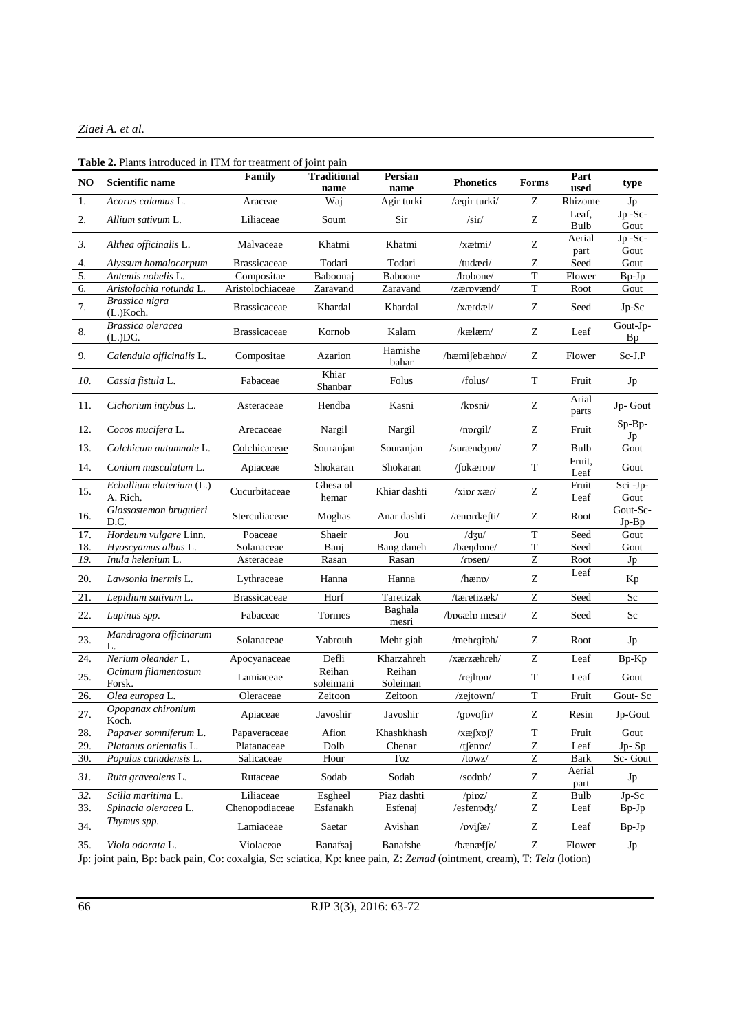### *Ziaei A. et al.*

#### **Table 2.** Plants introduced in ITM for treatment of joint pain

| NO     | Scientific name                                                                                                                                                                                                      | Family              | <b>Traditional</b><br>name | Persian<br>name    | <b>Phonetics</b>     | Forms            | Part<br>used   | type                                                         |
|--------|----------------------------------------------------------------------------------------------------------------------------------------------------------------------------------------------------------------------|---------------------|----------------------------|--------------------|----------------------|------------------|----------------|--------------------------------------------------------------|
| 1.     | Acorus calamus L.                                                                                                                                                                                                    | Araceae             | Waj                        | Agir turki         | /ægir turki/         | Z                | Rhizome        | Jp                                                           |
| 2.     | Allium sativum L.                                                                                                                                                                                                    | Liliaceae           | Soum                       | Sir                | $/s$ ir/             | Z                | Leaf,<br>Bulb  | Jp-Sc-<br>Gout                                               |
| 3.     | Althea officinalis L.                                                                                                                                                                                                | Malvaceae           | Khatmi                     | Khatmi             | /xætmi/              | Z                | Aerial<br>part | Jp-Sc-<br>Gout                                               |
| 4.     | Alyssum homalocarpum                                                                                                                                                                                                 | <b>Brassicaceae</b> | Todari                     | Todari             | /tudæri/             | $\mathbf Z$      | Seed           | Gout                                                         |
| 5.     | Antemis nobelis L.                                                                                                                                                                                                   | Compositae          | Baboonaj                   | Baboone            | /bpbone/             | $\mathbf T$      | Flower         | $Bp-Jp$                                                      |
| 6.     | Aristolochia rotunda L.                                                                                                                                                                                              | Aristolochiaceae    | Zaravand                   | Zaravand           | /zærpvænd/           | $\mathbf T$      | Root           | Gout                                                         |
| 7.     | Brassica nigra<br>(L.)Koch.                                                                                                                                                                                          | <b>Brassicaceae</b> | Khardal                    | Khardal            | $\chi$ ærdæl $\chi$  | Z                | Seed           | $Jp-Sc$                                                      |
| 8.     | Brassica oleracea<br>$(L)DC$ .                                                                                                                                                                                       | <b>Brassicaceae</b> | Kornob                     | Kalam              | $/k$ ælæm $/$        | Ζ                | Leaf           | Gout-Jp-<br><b>Bp</b>                                        |
| 9.     | Calendula officinalis L.                                                                                                                                                                                             | Compositae          | Azarion                    | Hamishe<br>bahar   | /hæmifebæhpr/        | Ζ                | Flower         | Sc-J.P                                                       |
| 10.    | Cassia fistula L.                                                                                                                                                                                                    | Fabaceae            | Khiar<br>Shanbar           | Folus              | /folus/              | $\mathbf T$      | Fruit          | Jp                                                           |
| 11.    | Cichorium intybus L.                                                                                                                                                                                                 | Asteraceae          | Hendba                     | Kasni              | /kpsni/              | Z                | Arial<br>parts | Jp-Gout                                                      |
| 12.    | Cocos mucifera L.                                                                                                                                                                                                    | Arecaceae           | Nargil                     | Nargil             | /mprgil/             | Ζ                | Fruit          | $Sp-Bp-$<br>Jp                                               |
| 13.    | Colchicum autumnale L.                                                                                                                                                                                               | Colchicaceae        | Souranjan                  | Souranjan          | /surænd3pn/          | Z                | Bulb           | Gout                                                         |
| 14.    | Conium masculatum L.                                                                                                                                                                                                 | Apiaceae            | Shokaran                   | Shokaran           | $/$ [okærpn $/$      | $\mathbf T$      | Fruit,<br>Leaf | Gout                                                         |
| 15.    | Ecballium elaterium (L.)<br>A. Rich.                                                                                                                                                                                 | Cucurbitaceae       | Ghesa ol<br>hemar          | Khiar dashti       | $\frac{x}{\sin x}$   | Z                | Fruit<br>Leaf  | Sci-Jp-<br>Gout                                              |
| 16.    | Glossostemon bruguieri<br>D.C.                                                                                                                                                                                       | Sterculiaceae       | Moghas                     | Anar dashti        | /ænprdæfti/          | Ζ                | Root           | Gout-Sc-<br>$Jp-Bp$                                          |
| 17.    | Hordeum vulgare Linn.                                                                                                                                                                                                | Poaceae             | Shaeir                     | Jou                | $/d \mathfrak{z}$ u/ | $\mathbf T$      | Seed           | Gout                                                         |
| 18.    | Hyoscyamus albus L.                                                                                                                                                                                                  | Solanaceae          | Banj                       | Bang daneh         | /bændpne/            | $\mathbf T$      | Seed           | Gout                                                         |
| 19.    | Inula helenium L.                                                                                                                                                                                                    | Asteraceae          | Rasan                      | Rasan              | /rpsen/              | Ζ                | Root           | Jp                                                           |
| 20.    | Lawsonia inermis L.                                                                                                                                                                                                  | Lythraceae          | Hanna                      | Hanna              | $/$ hæn $\upsilon$   | Z                | Leaf           | Kp                                                           |
| 21.    | Lepidium sativum L.                                                                                                                                                                                                  | <b>Brassicaceae</b> | Horf                       | Taretizak          | /tæretizæk/          | $\mathbf Z$      | Seed           | Sc                                                           |
| 22.    | Lupinus spp.                                                                                                                                                                                                         | Fabaceae            | Tormes                     | Baghala<br>mesri   | /bocælp mesri/       | Z                | Seed           | Sc                                                           |
| 23.    | Mandragora officinarum<br>L.                                                                                                                                                                                         | Solanaceae          | Yabrouh                    | Mehr giah          | /mehrgiph/           | Ζ                | Root           | Jp                                                           |
| 24.    | Nerium oleander L.                                                                                                                                                                                                   | Apocyanaceae        | Defli                      | Kharzahreh         | /xærzæhreh/          | Z                | Leaf           | Bp-Kp                                                        |
| 25.    | Ocimum filamentosum<br>Forsk.                                                                                                                                                                                        | Lamiaceae           | Reihan<br>soleimani        | Reihan<br>Soleiman | /rejhpn/             | $\mathbf T$      | Leaf           | Gout                                                         |
| 26.    | Olea europea L.                                                                                                                                                                                                      | Oleraceae           | Zeitoon                    | Zeitoon            | /zejtown/            | $\mathbf T$      | Fruit          | Gout-Sc                                                      |
| 27.    | Opopanax chironium<br>Koch.                                                                                                                                                                                          | Apiaceae            | Javoshir                   | Javoshir           | $\gamma$ gpvosir/    | Ζ                | Resin          | $\mathop{\rm Jp}\nolimits\text{-}\mathop{\rm Gout}\nolimits$ |
| 28.    | Papaver somniferum L.                                                                                                                                                                                                | Papaveraceae        | Afion                      | Khashkhash         | $/xa$ fxpf $/$       | $\overline{T}$   | Fruit          | Gout                                                         |
| 29.    | Platanus orientalis L.                                                                                                                                                                                               | Platanaceae         | Dolb                       | Chenar             | $/t$ fen $n$         | $\boldsymbol{Z}$ | Leaf           | Jp-Sp                                                        |
| 30.    | Populus canadensis L.                                                                                                                                                                                                | Salicaceae          | Hour                       | Toz                | /towz/               | Z                | Bark           | Sc-Gout                                                      |
| 31.    | Ruta graveolens L.                                                                                                                                                                                                   | Rutaceae            | Sodab                      | Sodab              | /sodpb/              | Z                | Aerial<br>part | Jp                                                           |
| 32.    | Scilla maritima L.                                                                                                                                                                                                   | Liliaceae           | Esgheel                    | Piaz dashti        | $\pi$                | Z                | Bulb           | Jp-Sc                                                        |
| 33.    | Spinacia oleracea L.                                                                                                                                                                                                 | Chenopodiaceae      | Esfanakh                   | Esfenaj            | /esfenpd3/           | Z                | Leaf           | $Bp-Jp$                                                      |
| 34.    | Thymus spp.                                                                                                                                                                                                          | Lamiaceae           | Saetar                     | Avishan            | $/$ pvi $\int$ æ $/$ | Z                | Leaf           | $Bp-Jp$<br>Jp                                                |
| In:in: | $\overline{z}$<br>35.<br>Violaceae<br>Banafshe<br>Viola odorata L.<br>Banafsai<br>/bænæffe/<br>Flower<br>agin, Brubeck poin, Coveredgie, Sovereigne, Kny knee poin, Z. Zamad (ointr<br>$T \cdot T_2 I_2$<br>(letion) |                     |                            |                    |                      |                  |                |                                                              |

Jp: joint pain, Bp: back pain, Co: coxalgia, Sc: sciatica, Kp: knee pain, Z: *Zemad* (ointment, cream), T: *Tela* (lotion)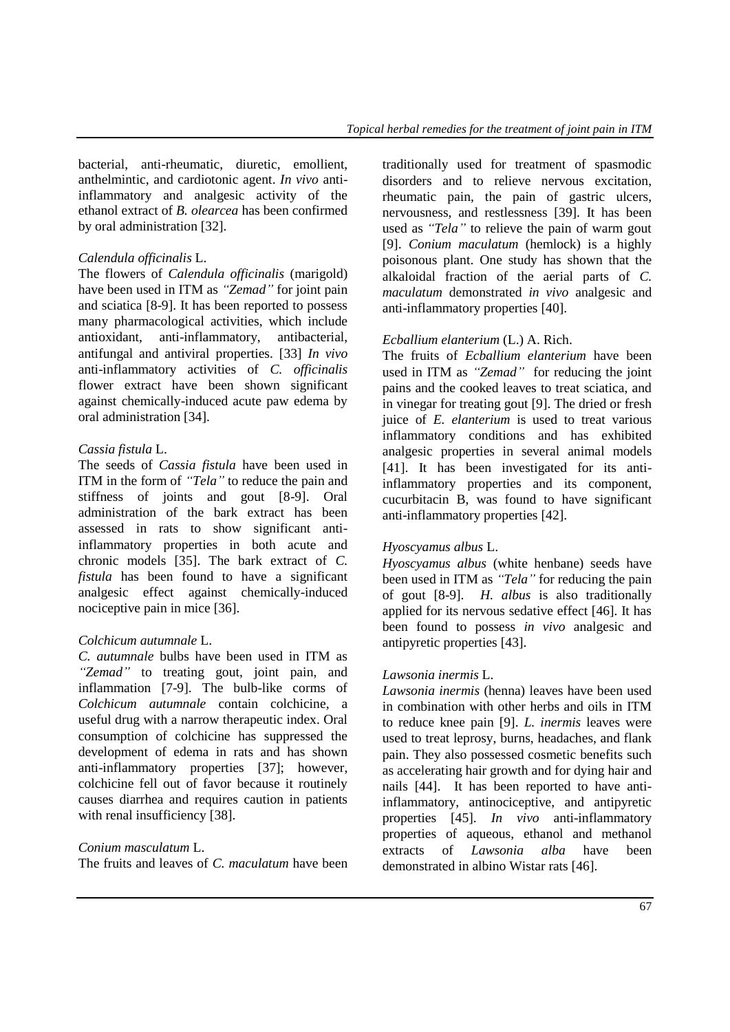bacterial, anti-rheumatic, diuretic, emollient, anthelmintic, and cardiotonic agent. *In vivo* antiinflammatory and analgesic activity of the ethanol extract of *B. olearcea* has been confirmed by oral administration [32].

### *Calendula officinalis* L.

The flowers of *Calendula officinalis* (marigold) have been used in ITM as *"Zemad"* for joint pain and sciatica [8-9]. It has been reported to possess many pharmacological activities, which include antioxidant, anti-inflammatory, antibacterial, antifungal and antiviral properties. [33] *In vivo*  anti-inflammatory activities of *C. officinalis* flower extract have been shown significant against chemically-induced acute paw edema by oral administration [34].

### *Cassia fistula* L.

The seeds of *Cassia fistula* have been used in ITM in the form of *"Tela"* to reduce the pain and stiffness of joints and gout [8-9]. Oral administration of the bark extract has been assessed in rats to show significant antiinflammatory properties in both acute and chronic models [35]. The bark extract of *C. fistula* has been found to have a significant analgesic effect against chemically-induced nociceptive pain in mice [36].

#### *Colchicum autumnale* L.

*C. autumnale* bulbs have been used in ITM as *"Zemad"* to treating gout, joint pain, and inflammation [7-9]. The bulb-like corms of *Colchicum autumnale* contain colchicine, a useful drug with a narrow therapeutic index. Oral consumption of colchicine has suppressed the development of edema in rats and has shown anti-inflammatory properties [37]; however, colchicine fell out of favor because it routinely causes diarrhea and requires caution in patients with renal insufficiency [38].

#### *Conium masculatum* L.

The fruits and leaves of *C. maculatum* have been

traditionally used for treatment of spasmodic disorders and to relieve nervous excitation, rheumatic pain, the pain of gastric ulcers, nervousness, and restlessness [39]. It has been used as *"Tela"* to relieve the pain of warm gout [9]. *Conium maculatum* (hemlock) is a highly poisonous plant. One study has shown that the alkaloidal fraction of the aerial parts of *C. maculatum* demonstrated *in vivo* analgesic and anti-inflammatory properties [40].

### *Ecballium elanterium* (L.) A. Rich.

The fruits of *Ecballium elanterium* have been used in ITM as *"Zemad"* for reducing the joint pains and the cooked leaves to treat sciatica, and in vinegar for treating gout [9]. The dried or fresh juice of *E. elanterium* is used to treat various inflammatory conditions and has exhibited analgesic properties in several animal models [41]. It has been investigated for its antiinflammatory properties and its component, cucurbitacin B, was found to have significant anti-inflammatory properties [42].

#### *Hyoscyamus albus* L.

*Hyoscyamus albus* (white henbane) seeds have been used in ITM as *"Tela"* for reducing the pain of gout [8-9]. *H. albus* is also traditionally applied for its nervous sedative effect [46]. It has been found to possess *in vivo* analgesic and antipyretic properties [43].

#### *Lawsonia inermis* L.

*Lawsonia inermis* (henna) leaves have been used in combination with other herbs and oils in ITM to reduce knee pain [9]. *L. inermis* leaves were used to treat leprosy, burns, headaches, and flank pain. They also possessed cosmetic benefits such as accelerating hair growth and for dying hair and nails [44]. It has been reported to have antiinflammatory, antinociceptive, and antipyretic properties [45]. *In vivo* anti-inflammatory properties of aqueous, ethanol and methanol extracts of *Lawsonia alba* have been demonstrated in albino Wistar rats [46].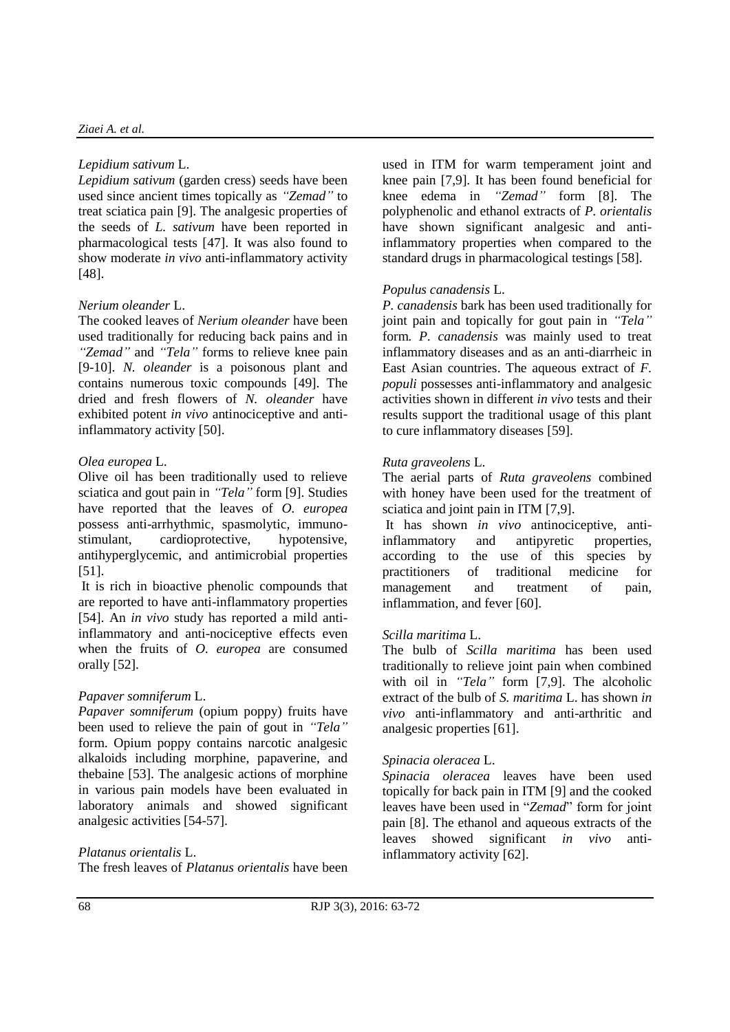#### *Ziaei A. et al.*

#### *Lepidium sativum* L.

*Lepidium sativum* (garden cress) seeds have been used since ancient times topically as *"Zemad"* to treat sciatica pain [9]. The analgesic properties of the seeds of *L. sativum* have been reported in pharmacological tests [47]. It was also found to show moderate *in vivo* anti-inflammatory activity [48].

### *Nerium oleander* L.

The cooked leaves of *Nerium oleander* have been used traditionally for reducing back pains and in *"Zemad"* and *"Tela"* forms to relieve knee pain [9-10]. *N. oleander* is a poisonous plant and contains numerous toxic compounds [49]. The dried and fresh flowers of *N. oleander* have exhibited potent *in vivo* antinociceptive and antiinflammatory activity [50].

### *Olea europea* L.

Olive oil has been traditionally used to relieve sciatica and gout pain in *"Tela"* form [9]. Studies have reported that the leaves of *O. europea* possess anti-arrhythmic, spasmolytic, immunostimulant, cardioprotective, hypotensive, antihyperglycemic, and antimicrobial properties [51].

It is rich in bioactive phenolic compounds that are reported to have anti-inflammatory properties [54]. An *in vivo* study has reported a mild antiinflammatory and anti-nociceptive effects even when the fruits of *O. europea* are consumed orally [52].

### *Papaver somniferum* L.

*Papaver somniferum* (opium poppy) fruits have been used to relieve the pain of gout in *"Tela"*  form. Opium poppy contains narcotic analgesic alkaloids including morphine, papaverine, and thebaine [53]. The analgesic actions of morphine in various pain models have been evaluated in laboratory animals and showed significant analgesic activities [54-57].

### *Platanus orientalis* L.

The fresh leaves of *Platanus orientalis* have been

used in ITM for warm temperament joint and knee pain [7,9]. It has been found beneficial for knee edema in *"Zemad"* form [8]. The polyphenolic and ethanol extracts of *P. orientalis* have shown significant analgesic and antiinflammatory properties when compared to the standard drugs in pharmacological testings [58].

### *Populus canadensis* L.

*P. canadensis* bark has been used traditionally for joint pain and topically for gout pain in *"Tela"* form*. P. canadensis* was mainly used to treat inflammatory diseases and as an anti-diarrheic in East Asian countries. The aqueous extract of *F. populi* possesses anti-inflammatory and analgesic activities shown in different *in vivo* tests and their results support the traditional usage of this plant to cure inflammatory diseases [59].

### *Ruta graveolens* L.

The aerial parts of *Ruta graveolens* combined with honey have been used for the treatment of sciatica and joint pain in ITM [7,9].

It has shown *in vivo* antinociceptive, antiinflammatory and antipyretic properties, according to the use of this species by practitioners of traditional medicine for management and treatment of pain, inflammation, and fever [60].

### *Scilla maritima* L.

The bulb of *Scilla maritima* has been used traditionally to relieve joint pain when combined with oil in *"Tela"* form [7,9]. The alcoholic extract of the bulb of *S. maritima* L. has shown *in vivo* anti-inflammatory and anti-arthritic and analgesic properties [61].

#### *Spinacia oleracea* L.

*Spinacia oleracea* leaves have been used topically for back pain in ITM [9] and the cooked leaves have been used in "*Zemad*" form for joint pain [8]. The ethanol and aqueous extracts of the leaves showed significant *in vivo* antiinflammatory activity [62].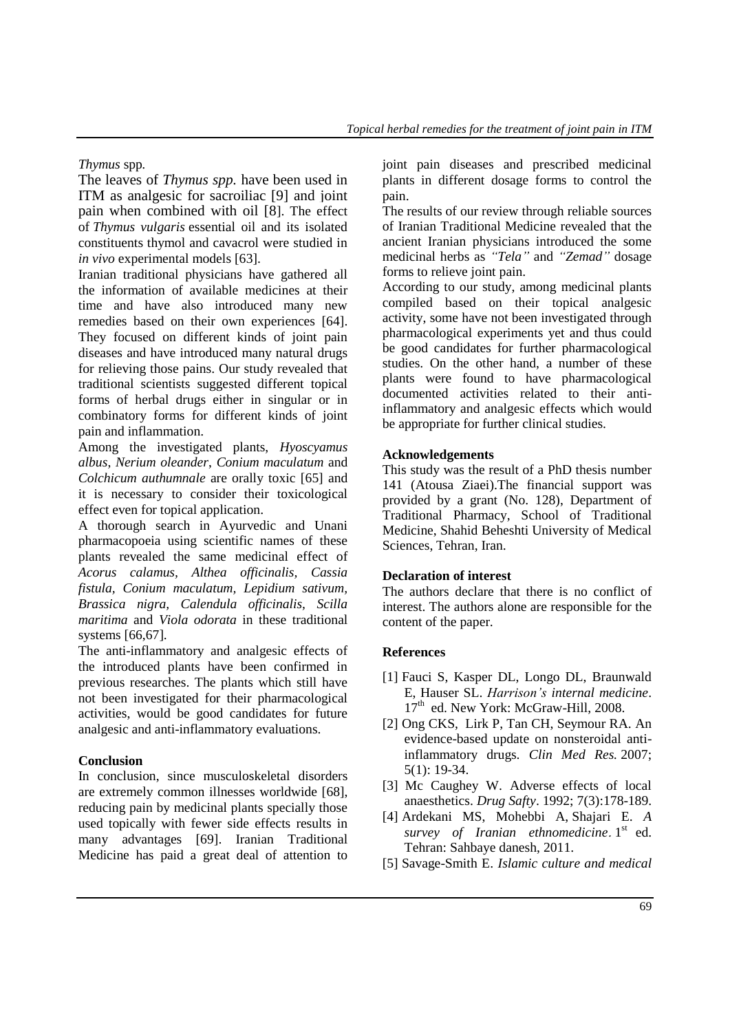*Thymus* spp*.*

The leaves of *Thymus spp.* have been used in ITM as analgesic for sacroiliac [9] and joint pain when combined with oil [8]. The effect of *Thymus vulgaris* essential oil and its isolated constituents thymol and cavacrol were studied in *in vivo* experimental models [63].

Iranian traditional physicians have gathered all the information of available medicines at their time and have also introduced many new remedies based on their own experiences [64]. They focused on different kinds of joint pain diseases and have introduced many natural drugs for relieving those pains. Our study revealed that traditional scientists suggested different topical forms of herbal drugs either in singular or in combinatory forms for different kinds of joint pain and inflammation.

Among the investigated plants, *Hyoscyamus albus*, *Nerium oleander*, *Conium maculatum* and *Colchicum authumnale* are orally toxic [65] and it is necessary to consider their toxicological effect even for topical application.

A thorough search in Ayurvedic and Unani pharmacopoeia using scientific names of these plants revealed the same medicinal effect of *Acorus calamus, Althea officinalis, Cassia fistula, Conium maculatum, Lepidium sativum, Brassica nigra, Calendula officinalis, Scilla maritima* and *Viola odorata* in these traditional systems [66,67].

The anti-inflammatory and analgesic effects of the introduced plants have been confirmed in previous researches. The plants which still have not been investigated for their pharmacological activities, would be good candidates for future analgesic and anti-inflammatory evaluations.

# **Conclusion**

In conclusion, since musculoskeletal disorders are extremely common illnesses worldwide [68], reducing pain by medicinal plants specially those used topically with fewer side effects results in many advantages [69]. Iranian Traditional Medicine has paid a great deal of attention to joint pain diseases and prescribed medicinal plants in different dosage forms to control the pain.

The results of our review through reliable sources of Iranian Traditional Medicine revealed that the ancient Iranian physicians introduced the some medicinal herbs as *"Tela"* and *"Zemad"* dosage forms to relieve joint pain.

According to our study, among medicinal plants compiled based on their topical analgesic activity, some have not been investigated through pharmacological experiments yet and thus could be good candidates for further pharmacological studies. On the other hand, a number of these plants were found to have pharmacological documented activities related to their antiinflammatory and analgesic effects which would be appropriate for further clinical studies.

### **Acknowledgements**

This study was the result of a PhD thesis number 141 (Atousa Ziaei).The financial support was provided by a grant (No. 128), Department of Traditional Pharmacy, School of Traditional Medicine, Shahid Beheshti University of Medical Sciences, Tehran, Iran.

### **Declaration of interest**

The authors declare that there is no conflict of interest. The authors alone are responsible for the content of the paper.

### **References**

- [1] Fauci S, Kasper DL, Longo DL, Braunwald E, Hauser SL. *Harrison's internal medicine*. 17<sup>th</sup> ed. New York: McGraw-Hill, 2008.
- [2] Ong [CKS,](http://www.ncbi.nlm.nih.gov/pubmed/?term=Ong%20C%5Bauth%5D) Lirk P, [Tan](http://www.ncbi.nlm.nih.gov/pubmed/?term=Tan%20C%5Bauth%5D) CH, [Seymour](http://www.ncbi.nlm.nih.gov/pubmed/?term=Seymour%20R%5Bauth%5D) RA. An evidence-based update on nonsteroidal antiinflammatory drugs*. Clin Med Res.* 2007; 5(1): 19-34.
- [3] [Mc Caughey W.](http://www.ncbi.nlm.nih.gov/pubmed/?term=McCaughey%20W%5BAuthor%5D&cauthor=true&cauthor_uid=1503666) Adverse effects of local anaesthetics. *[Drug Safty](http://www.ncbi.nlm.nih.gov/pubmed/1503666)*. 1992; 7(3):178-189.
- [4] Ardekani MS, Mohebbi A, Shajari E. *A*  survey of Iranian ethnomedicine. 1<sup>st</sup> ed. Tehran: Sahbaye danesh, 2011.
- [5] Savage-Smith E. *Islamic culture and medical*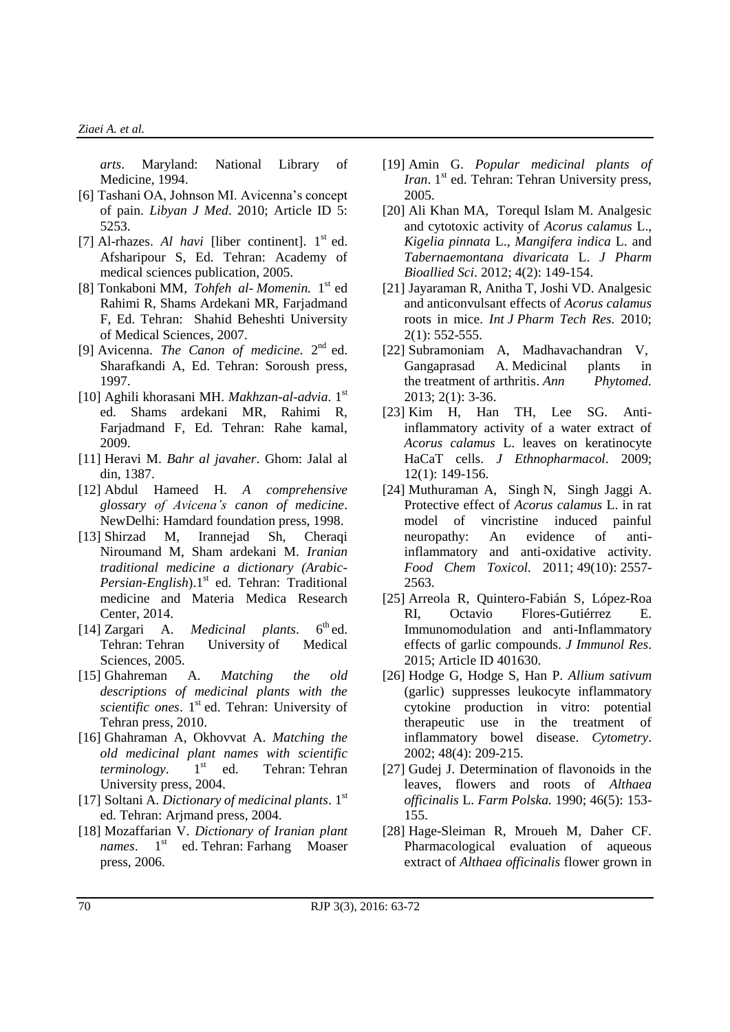*arts*. Maryland: National Library of Medicine, 1994.

- [6] Tashani OA, Johnson MI. Avicenna's concept of pain. *Libyan J Med*. 2010; Article ID 5: 5253.
- [7] Al-rhazes.  $Al$  havi [liber continent].  $1<sup>st</sup>$  ed. Afsharipour S, Ed. Tehran: Academy of medical sciences publication, 2005.
- [8] Tonkaboni MM, *Tohfeh al Momenin.* 1 st ed Rahimi R, Shams Ardekani MR, Farjadmand F, Ed. Tehran: Shahid Beheshti University of Medical Sciences, 2007.
- [9] Avicenna. *The Canon of medicine*. 2<sup>nd</sup> ed. Sharafkandi A, Ed. Tehran: Soroush press, 1997.
- [10] Aghili khorasani MH. *Makhzan-al-advia*. 1st ed. Shams ardekani MR, Rahimi R, Farjadmand F, Ed. Tehran: Rahe kamal, 2009.
- [11] Heravi M. *Bahr al javaher*. Ghom: Jalal al din, 1387.
- [12] Abdul Hameed H. *A comprehensive glossary of Avicena's canon of medicine*. NewDelhi: Hamdard foundation press, 1998.
- [13] Shirzad M, Irannejad Sh, Cheraqi Niroumand M, Sham ardekani M. *Iranian traditional medicine a dictionary (Arabic-*Persian-English).1<sup>st</sup> ed. Tehran: Traditional medicine and Materia Medica Research Center, 2014.
- [14] Zargari A. *Medicinal plants*.  $6^{\text{th}}$ ed. Tehran: Tehran University of Medical Sciences, 2005.
- [15] Ghahreman A. *Matching the old descriptions of medicinal plants with the scientific ones.* 1<sup>st</sup> ed. Tehran: University of Tehran press, 2010.
- [16] Ghahraman A, Okhovvat A. *Matching the old medicinal plant names with scientific terminology*. 1<sup>st</sup> ed. Tehran: Tehran University press, 2004.
- [17] Soltani A. *Dictionary of medicinal plants*. 1st ed. Tehran: Arjmand press, 2004.
- [18] Mozaffarian V. *Dictionary of Iranian plant names*. 1<sup>st</sup> ed. Tehran: Farhang Moaser press, 2006.
- [19] Amin G. *Popular medicinal plants of*  Iran. 1<sup>st</sup> ed. Tehran: Tehran University press, 2005.
- [20] [Ali Khan](http://www.ncbi.nlm.nih.gov/pubmed/?term=Khan%20MA%5Bauth%5D) MA, [Torequl Islam](http://www.ncbi.nlm.nih.gov/pubmed/?term=Islam%20MT%5Bauth%5D) M. Analgesic and cytotoxic activity of *Acorus calamus* L., *Kigelia pinnata* L., *Mangifera indica* L. and *Tabernaemontana divaricata* L. *J Pharm Bioallied Sci*. 2012; 4(2): 149-154.
- [21] Jayaraman R, Anitha T, Joshi VD. Analgesic and anticonvulsant effects of *Acorus calamus* roots in mice*. Int J Pharm Tech Res.* 2010; 2(1): 552-555.
- [22] Subramoniam A, Madhavachandran V, Gangaprasad A. [Medicinal plants in](http://www.ukaazpublications.com/attached/publications/C-2%20Subromoniam%20(3-36).pdf)  the [treatment](http://www.ukaazpublications.com/attached/publications/C-2%20Subromoniam%20(3-36).pdf) of arthritis. *Ann Phytomed.* 2013; 2(1): 3-36.
- [23] Kim H, [Han TH,](http://www.ncbi.nlm.nih.gov/pubmed/?term=Han%20TH%5BAuthor%5D&cauthor=true&cauthor_uid=19146941) [Lee SG.](http://www.ncbi.nlm.nih.gov/pubmed/?term=Lee%20SG%5BAuthor%5D&cauthor=true&cauthor_uid=19146941) Antiinflammatory activity of a water extract of *Acorus calamus* L. leaves on keratinocyte HaCaT cells[.](http://www.ncbi.nlm.nih.gov/pubmed/19146941) *J [Ethnopharmacol](http://www.ncbi.nlm.nih.gov/pubmed/19146941)*. 2009; 12(1): 149-156.
- [24] [Muthuraman](http://www.sciencedirect.com/science/article/pii/S0278691511003139) A, [Singh](http://www.sciencedirect.com/science/article/pii/S0278691511003139) N, [Singh Jaggi](http://www.sciencedirect.com/science/article/pii/S0278691511003139) A. Protective effect of *Acorus calamus* L. in rat model of vincristine induced painful neuropathy: An evidence of antiinflammatory and anti-oxidative activity. *Food Chem Toxicol.* 2011; [49\(10\)](http://www.sciencedirect.com/science/journal/02786915/49/10): 2557- 2563.
- [25] Arreola R, Quintero-Fabián S, López-Roa RI, Octavio Flores-Gutiérrez E. Immunomodulation and anti-Inflammatory effects of garlic compounds. *J Immunol Res*. 2015; Article ID 401630.
- [26] [Hodge G,](http://www.ncbi.nlm.nih.gov/pubmed/?term=Hodge%20G%5BAuthor%5D&cauthor=true&cauthor_uid=12210145) [Hodge S,](http://www.ncbi.nlm.nih.gov/pubmed/?term=Hodge%20S%5BAuthor%5D&cauthor=true&cauthor_uid=12210145) [Han P.](http://www.ncbi.nlm.nih.gov/pubmed/?term=Han%20P%5BAuthor%5D&cauthor=true&cauthor_uid=12210145) *Allium sativum* (garlic) suppresses leukocyte inflammatory cytokine production in vitro: potential therapeutic use in the treatment of inflammatory bowel disease. *[Cytometry](http://www.ncbi.nlm.nih.gov/pubmed/12210145)*. 2002; 48(4): 209-215.
- [27] Gudej J. Determination of flavonoids in the leaves, flowers and roots of *Althaea officinalis* L. *Farm Polska.* 1990; 46(5): 153- 155.
- [28] Hage-Sleiman R, Mroueh M, Daher CF. Pharmacological evaluation of aqueous extract of *Althaea officinalis* flower grown in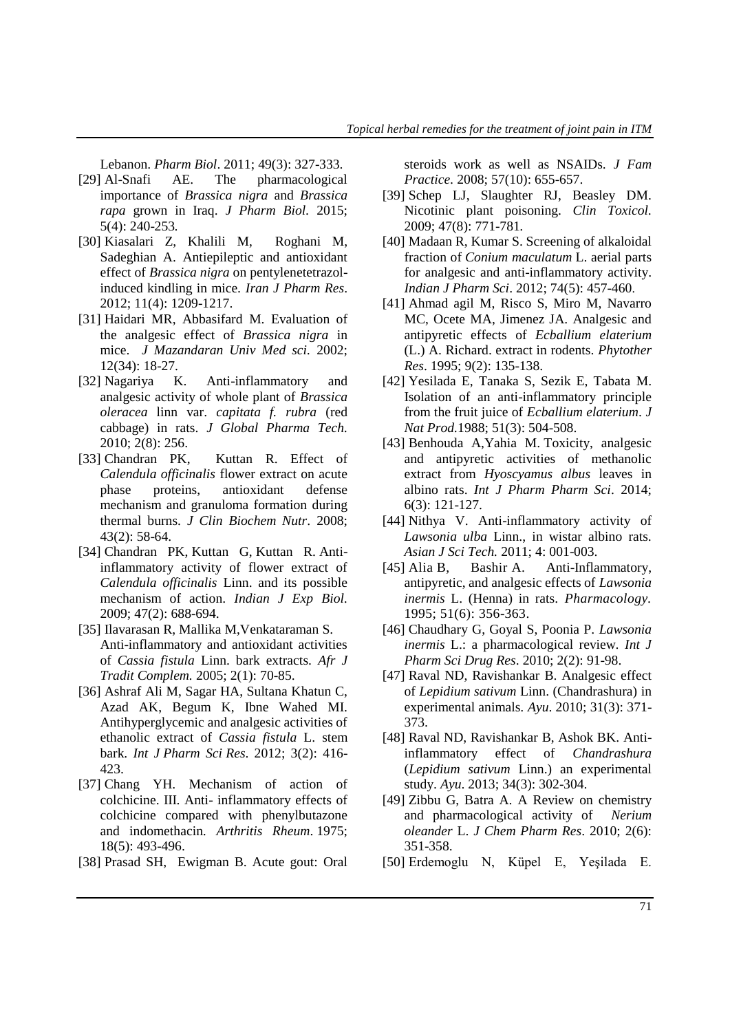Lebanon. *Pharm Biol*. 2011; 49(3): 327-333.

- [29] Al-Snafi AE. The pharmacological importance of *Brassica nigra* and *Brassica rapa* grown in Iraq. *J Pharm Biol.* 2015; 5(4): 240-253*.*
- [30] [Kiasalari](http://www.ncbi.nlm.nih.gov/pubmed/?term=Kiasalari%20Z%5Bauth%5D) Z, [Khalili](http://www.ncbi.nlm.nih.gov/pubmed/?term=Khalili%20M%5Bauth%5D) M, [Roghani](http://www.ncbi.nlm.nih.gov/pubmed/?term=Roghani%20M%5Bauth%5D) M, [Sadeghian](http://www.ncbi.nlm.nih.gov/pubmed/?term=Sadeghian%20A%5Bauth%5D) A. Antiepileptic and antioxidant effect of *Brassica nigra* on pentylenetetrazolinduced kindling in mice*. Iran J Pharm Res*. 2012; 11(4): 1209-1217.
- [31] [Haidari M](http://jmums.mazums.ac.ir/search.php?slc_lang=en&sid=1&auth=Haidari)R, [Abbasifard](http://jmums.mazums.ac.ir/search.php?slc_lang=en&sid=1&auth=Abbasifard) M. [Evaluation of](http://jmums.mazums.ac.ir/files/site1/user_files_0d0bf0/admin-A-10-1-69-9610f5e.pdf)  [the analgesic effect of](http://jmums.mazums.ac.ir/files/site1/user_files_0d0bf0/admin-A-10-1-69-9610f5e.pdf) *Brassica nigra* in [mice.](http://jmums.mazums.ac.ir/files/site1/user_files_0d0bf0/admin-A-10-1-69-9610f5e.pdf) *J Mazandaran Univ Med sci.* 2002; 12(34): 18-27.
- [32] [Nagariya](http://www.jourlib.org/search?kw=Kashyap%20Nagariya&searchField=authors) K. Anti-inflammatory and analgesic activity of whole plant of *Brassica oleracea* linn var. *capitata f. rubra* (red cabbage) in rats. *J Global Pharma Tech.* 2010; 2(8): 256.
- [33] [Chandran](http://www.ncbi.nlm.nih.gov/pubmed/?term=Chandran%20PK%5Bauth%5D) PK, [Kuttan](http://www.ncbi.nlm.nih.gov/pubmed/?term=Kuttan%20R%5Bauth%5D) R. Effect of *Calendula officinalis* flower extract on acute phase proteins, antioxidant defense mechanism and granuloma formation during thermal burns. *J Clin Biochem Nutr*. 2008; 43(2): 58-64.
- [34] Chandran PK, Kuttan G, Kuttan R. Antiinflammatory activity of flower extract of *Calendula officinalis* Linn. and its possible mechanism of action. *Indian J Exp Biol.* 2009; 47(2): 688-694.
- [35] Ilavarasan R, Mallika M,Venkataraman S. Anti-inflammatory and antioxidant activities of *Cassia fistula* Linn. bark extracts. *Afr J Tradit Complem.* 2005; 2(1): 70-85.
- [36] Ashraf Ali M, Sagar HA, Sultana Khatun C, Azad AK, Begum K, Ibne Wahed MI. Antihyperglycemic and analgesic activities of ethanolic extract of *Cassia fistula* L. stem bark. *Int J Pharm Sci Res*. 2012; 3(2): 416- 423.
- [37] [Chang YH.](http://www.ncbi.nlm.nih.gov/pubmed/?term=Chang%20YH%5BAuthor%5D&cauthor=true&cauthor_uid=127587) Mechanism of action of colchicine. III. Anti- inflammatory effects of colchicine compared with phenylbutazone and indomethacin*. [Arthritis Rheum](http://www.ncbi.nlm.nih.gov/pubmed/127587)*. 1975; 18(5): 493-496.
- [38] [Prasad](http://www.ncbi.nlm.nih.gov/pubmed/?term=Prasad%20S%5Bauth%5D) SH, [Ewigman](http://www.ncbi.nlm.nih.gov/pubmed/?term=Ewigman%20B%5Bauth%5D) B. Acute gout: Oral

steroids work as well as NSAIDs. *J Fam Practice.* 2008; 57(10): 655-657.

- [39] Schep LJ, Slaughter RJ, Beasley DM. Nicotinic plant poisoning. *Clin Toxicol.*  2009; 47(8): 771-781*.*
- [40] [Madaan](http://www.ncbi.nlm.nih.gov/pubmed/?term=Madaan%20R%5Bauth%5D) R, Kumar S. Screening of alkaloidal fraction of *Conium maculatum* L. aerial parts for analgesic and anti-inflammatory activity. *Indian J Pharm Sci*. 2012; 74(5): 457-460.
- [41] Ahmad agil M, Risco S, Miro M, Navarro MC, Ocete MA, Jimenez JA. Analgesic and antipyretic effects of *Ecballium elaterium* (L.) A. Richard. extract in rodents. *Phytother Res*. 1995; 9(2): 135-138.
- [42] [Yesilada E,](http://www.ncbi.nlm.nih.gov/pubmed/?term=Yesilada%20E%5BAuthor%5D&cauthor=true&cauthor_uid=3404148) [Tanaka S,](http://www.ncbi.nlm.nih.gov/pubmed/?term=Tanaka%20S%5BAuthor%5D&cauthor=true&cauthor_uid=3404148) [Sezik E,](http://www.ncbi.nlm.nih.gov/pubmed/?term=Sezik%20E%5BAuthor%5D&cauthor=true&cauthor_uid=3404148) [Tabata M.](http://www.ncbi.nlm.nih.gov/pubmed/?term=Tabata%20M%5BAuthor%5D&cauthor=true&cauthor_uid=3404148) Isolation of an anti-inflammatory principle from the fruit juice of *Ecballium elaterium*. *[J](http://www.ncbi.nlm.nih.gov/pubmed/3404148)  [Nat Prod.](http://www.ncbi.nlm.nih.gov/pubmed/3404148)*1988; 51(3): 504-508.
- [43] Benhouda A,Yahia M[.](http://www.ijppsjournal.com/Vol6Issue3/8871.pdf) [Toxicity, analgesic](http://www.ijppsjournal.com/Vol6Issue3/8871.pdf)  [and antipyretic activities of methanolic](http://www.ijppsjournal.com/Vol6Issue3/8871.pdf)  extract from *[Hyoscyamus albus](http://www.ijppsjournal.com/Vol6Issue3/8871.pdf)* leaves in [albino rats.](http://www.ijppsjournal.com/Vol6Issue3/8871.pdf) *Int J Pharm Pharm Sci*. 2014; 6(3): 121-127.
- [44] Nithya V. Anti-inflammatory activity of *Lawsonia ulba* Linn., in wistar albino rats*. Asian J Sci Tech.* 2011; 4: 001-003.
- [45] Alia B, Bashir A. Anti-Inflammatory, antipyretic, and analgesic effects of *Lawsonia inermis* L. (Henna) in rats. *Pharmacology.*  1995; 51(6): 356-363.
- [46] Chaudhary G, Goyal S, Poonia P. *Lawsonia inermis* L.: a pharmacological review*. Int J Pharm Sci Drug Res*. 2010; 2(2): 91-98.
- [47] [Raval ND, Ravishankar](http://www.ncbi.nlm.nih.gov/pubmed/?term=Raval%20ND%5Bauth%5D) B. Analgesic effect of *Lepidium sativum* Linn. (Chandrashura) in experimental animals*. Ayu*. 2010; 31(3): 371- 373.
- [48] [Raval](http://www.ncbi.nlm.nih.gov/pubmed/?term=Raval%20ND%5Bauth%5D) [ND, Ravishankar](http://www.ncbi.nlm.nih.gov/pubmed/?term=Ravishankar%20B%5Bauth%5D) B, Ashok [BK. A](http://www.ncbi.nlm.nih.gov/pubmed/?term=Ashok%20BK%5Bauth%5D)ntiinflammatory effect of *Chandrashura* (*Lepidium sativum* Linn.) an experimental study. *Ayu*. 2013; 34(3): 302-304.
- [49] Zibbu G, Batra A. [A Review on chemistry](http://www.google.com/url?sa=t&rct=j&q=&esrc=s&source=web&cd=5&cad=rja&uact=8&ved=0CDwQFjAEahUKEwiU5MKWq5DJAhWCthoKHT4nBac&url=http%3A%2F%2Fjocpr.com%2Fvol2-iss6-2010%2FJCPR-2010-2-6-351-358.pdf&usg=AFQjCNGmPtzRvM6nMoEgrdMIV_t4Q8wnjg)  [and pharmacological activity of](http://www.google.com/url?sa=t&rct=j&q=&esrc=s&source=web&cd=5&cad=rja&uact=8&ved=0CDwQFjAEahUKEwiU5MKWq5DJAhWCthoKHT4nBac&url=http%3A%2F%2Fjocpr.com%2Fvol2-iss6-2010%2FJCPR-2010-2-6-351-358.pdf&usg=AFQjCNGmPtzRvM6nMoEgrdMIV_t4Q8wnjg) *Nerium oleander* L. *J Chem Pharm Res*. 2010; 2(6): 351-358.
- [50] Erdemoglu N, Küpel E, Yeşilada E.